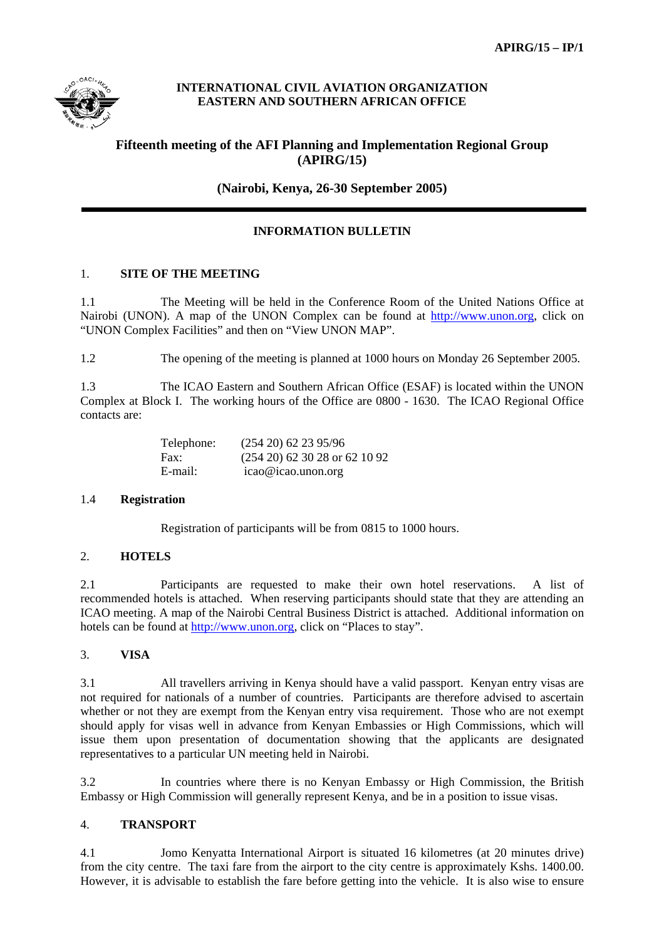

### **INTERNATIONAL CIVIL AVIATION ORGANIZATION EASTERN AND SOUTHERN AFRICAN OFFICE**

# **Fifteenth meeting of the AFI Planning and Implementation Regional Group (APIRG/15)**

**(Nairobi, Kenya, 26-30 September 2005)**

## **INFORMATION BULLETIN**

#### 1. **SITE OF THE MEETING**

1.1 The Meeting will be held in the Conference Room of the United Nations Office at Nairobi (UNON). A map of the UNON Complex can be found at http://www.unon.org, click on "UNON Complex Facilities" and then on "View UNON MAP".

1.2 The opening of the meeting is planned at 1000 hours on Monday 26 September 2005.

1.3 The ICAO Eastern and Southern African Office (ESAF) is located within the UNON Complex at Block I. The working hours of the Office are 0800 - 1630. The ICAO Regional Office contacts are:

| Telephone: | $(254\ 20)\ 62\ 23\ 95/96$       |
|------------|----------------------------------|
| Fax:       | $(254\ 20)$ 62 30 28 or 62 10 92 |
| E-mail:    | icao@icao.unon.org               |

#### 1.4 **Registration**

Registration of participants will be from 0815 to 1000 hours.

### 2. **HOTELS**

2.1 Participants are requested to make their own hotel reservations. A list of recommended hotels is attached. When reserving participants should state that they are attending an ICAO meeting. A map of the Nairobi Central Business District is attached. Additional information on hotels can be found at http://www.unon.org, click on "Places to stay".

#### 3. **VISA**

3.1 All travellers arriving in Kenya should have a valid passport. Kenyan entry visas are not required for nationals of a number of countries. Participants are therefore advised to ascertain whether or not they are exempt from the Kenyan entry visa requirement. Those who are not exempt should apply for visas well in advance from Kenyan Embassies or High Commissions, which will issue them upon presentation of documentation showing that the applicants are designated representatives to a particular UN meeting held in Nairobi.

3.2 In countries where there is no Kenyan Embassy or High Commission, the British Embassy or High Commission will generally represent Kenya, and be in a position to issue visas.

#### 4. **TRANSPORT**

4.1 Jomo Kenyatta International Airport is situated 16 kilometres (at 20 minutes drive) from the city centre. The taxi fare from the airport to the city centre is approximately Kshs. 1400.00. However, it is advisable to establish the fare before getting into the vehicle. It is also wise to ensure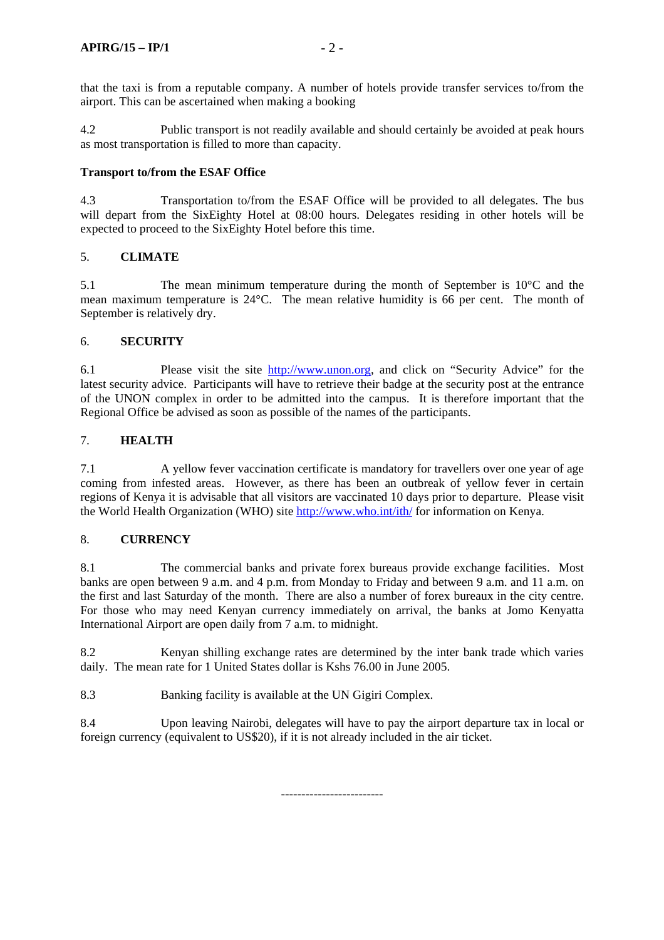that the taxi is from a reputable company. A number of hotels provide transfer services to/from the airport. This can be ascertained when making a booking

4.2 Public transport is not readily available and should certainly be avoided at peak hours as most transportation is filled to more than capacity.

#### **Transport to/from the ESAF Office**

4.3 Transportation to/from the ESAF Office will be provided to all delegates. The bus will depart from the SixEighty Hotel at 08:00 hours. Delegates residing in other hotels will be expected to proceed to the SixEighty Hotel before this time.

#### 5. **CLIMATE**

5.1 The mean minimum temperature during the month of September is 10°C and the mean maximum temperature is 24°C. The mean relative humidity is 66 per cent. The month of September is relatively dry.

#### 6. **SECURITY**

6.1 Please visit the site http://www.unon.org, and click on "Security Advice" for the latest security advice. Participants will have to retrieve their badge at the security post at the entrance of the UNON complex in order to be admitted into the campus. It is therefore important that the Regional Office be advised as soon as possible of the names of the participants.

#### 7. **HEALTH**

7.1 A yellow fever vaccination certificate is mandatory for travellers over one year of age coming from infested areas. However, as there has been an outbreak of yellow fever in certain regions of Kenya it is advisable that all visitors are vaccinated 10 days prior to departure. Please visit the World Health Organization (WHO) site http://www.who.int/ith/ for information on Kenya.

#### 8. **CURRENCY**

8.1 The commercial banks and private forex bureaus provide exchange facilities. Most banks are open between 9 a.m. and 4 p.m. from Monday to Friday and between 9 a.m. and 11 a.m. on the first and last Saturday of the month. There are also a number of forex bureaux in the city centre. For those who may need Kenyan currency immediately on arrival, the banks at Jomo Kenyatta International Airport are open daily from 7 a.m. to midnight.

8.2 Kenyan shilling exchange rates are determined by the inter bank trade which varies daily. The mean rate for 1 United States dollar is Kshs 76.00 in June 2005.

8.3 Banking facility is available at the UN Gigiri Complex.

8.4 Upon leaving Nairobi, delegates will have to pay the airport departure tax in local or foreign currency (equivalent to US\$20), if it is not already included in the air ticket.

-------------------------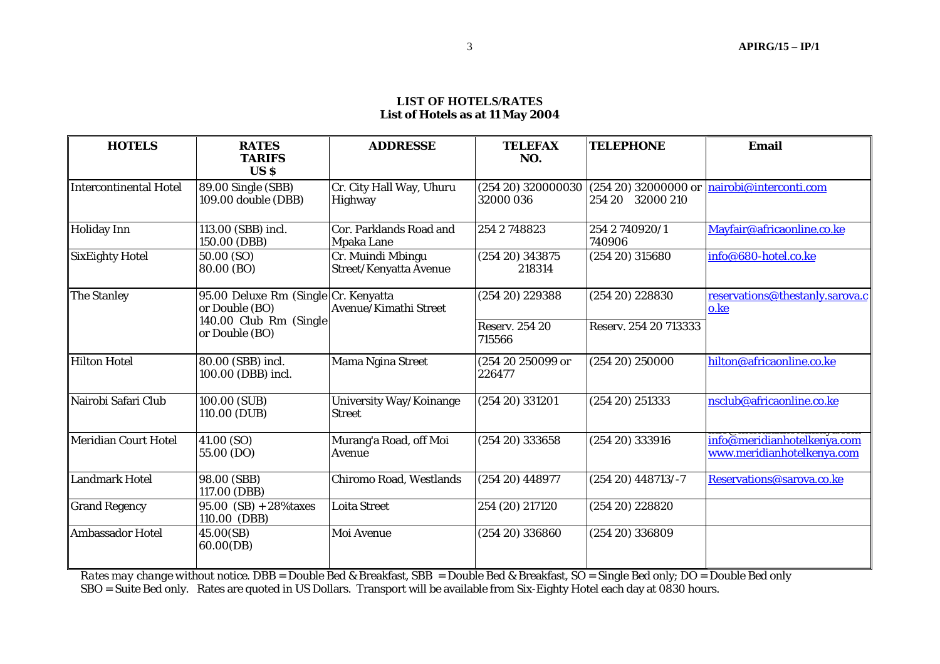#### **LIST OF HOTELS/RATES List of Hotels as at 11 May 2004**

| <b>HOTELS</b>          | <b>RATES</b><br><b>TARIFS</b><br>US <sub>S</sub>                                                   | <b>ADDRESSE</b>                             | <b>TELEFAX</b><br>NO.           | <b>TELEPHONE</b>         | <b>Email</b>                                              |
|------------------------|----------------------------------------------------------------------------------------------------|---------------------------------------------|---------------------------------|--------------------------|-----------------------------------------------------------|
| Intercontinental Hotel | 89.00 Single (SBB)<br>109.00 double (DBB)                                                          | Cr. City Hall Way, Uhuru<br>Highway         | (254 20) 320000030<br>32000 036 | 254 20 32000 210         | $(254 20) 32000000$ or $n$ nairobi@interconti.com         |
| <b>Holiday Inn</b>     | 113.00 (SBB) incl.<br>150.00 (DBB)                                                                 | Cor. Parklands Road and<br>Mpaka Lane       | 254 2 748823                    | 254 2 740920/1<br>740906 | Mayfair@africaonline.co.ke                                |
| SixEighty Hotel        | 50.00 (SO)<br>80.00 (BO)                                                                           | Cr. Muindi Mbingu<br>Street/Kenyatta Avenue | $(254\ 20)\ 343875$<br>218314   | $(254\ 20)\ 315680$      | info@680-hotel.co.ke                                      |
| The Stanley            | 95.00 Deluxe Rm (Single Cr. Kenyatta<br>or Double (BO)<br>140.00 Club Rm (Single<br>or Double (BO) | Avenue/Kimathi Street                       | (25420) 229388                  | $(254\ 20)\ 228830$      | reservations@thestanly.sarova.c<br>o.ke                   |
|                        |                                                                                                    |                                             | <b>Reserv. 254 20</b><br>715566 | Reserv. 254 20 713333    |                                                           |
| Hilton Hotel           | 80.00 (SBB) incl.<br>100.00 (DBB) incl.                                                            | Mama Ngina Street                           | (254 20 250099 or<br>226477     | $(254\ 20)\ 250000$      | hilton@africaonline.co.ke                                 |
| Nairobi Safari Club    | 100.00 (SUB)<br>110.00 (DUB)                                                                       | University Way/Koinange<br><b>Street</b>    | (25420) 331201                  | $(254\ 20)\ 251333$      | nsclub@africaonline.co.ke                                 |
| Meridian Court Hotel   | 41.00 (SO)<br>55.00 (DO)                                                                           | Murang'a Road, off Moi<br>Avenue            | $(254\ 20)\ 333658$             | (254 20) 333916          | info@meridianhotelkenya.com<br>www.meridianhotelkenya.com |
| Landmark Hotel         | 98.00 (SBB)<br>117.00 (DBB)                                                                        | Chiromo Road, Westlands                     | $(254\ 20)\ 448977$             | $(254 20)$ 448713/-7     | Reservations@sarova.co.ke                                 |
| <b>Grand Regency</b>   | $95.00$ (SB) + 28% taxes<br>110.00 (DBB)                                                           | <b>Loita Street</b>                         | 254 (20) 217120                 | $(254\ 20)\ 228820$      |                                                           |
| Ambassador Hotel       | 45.00(SB)<br>60.00(DB)                                                                             | Moi Avenue                                  | $(254\ 20)\ 336860$             | (254 20) 336809          |                                                           |

*Rates may change without notice.* DBB = Double Bed & Breakfast, SBB = Double Bed & Breakfast, SO = Single Bed only; DO = Double Bed only SBO = Suite Bed only. Rates are quoted in US Dollars. Transport will be available from Six-Eighty Hotel each day at 0830 hours.